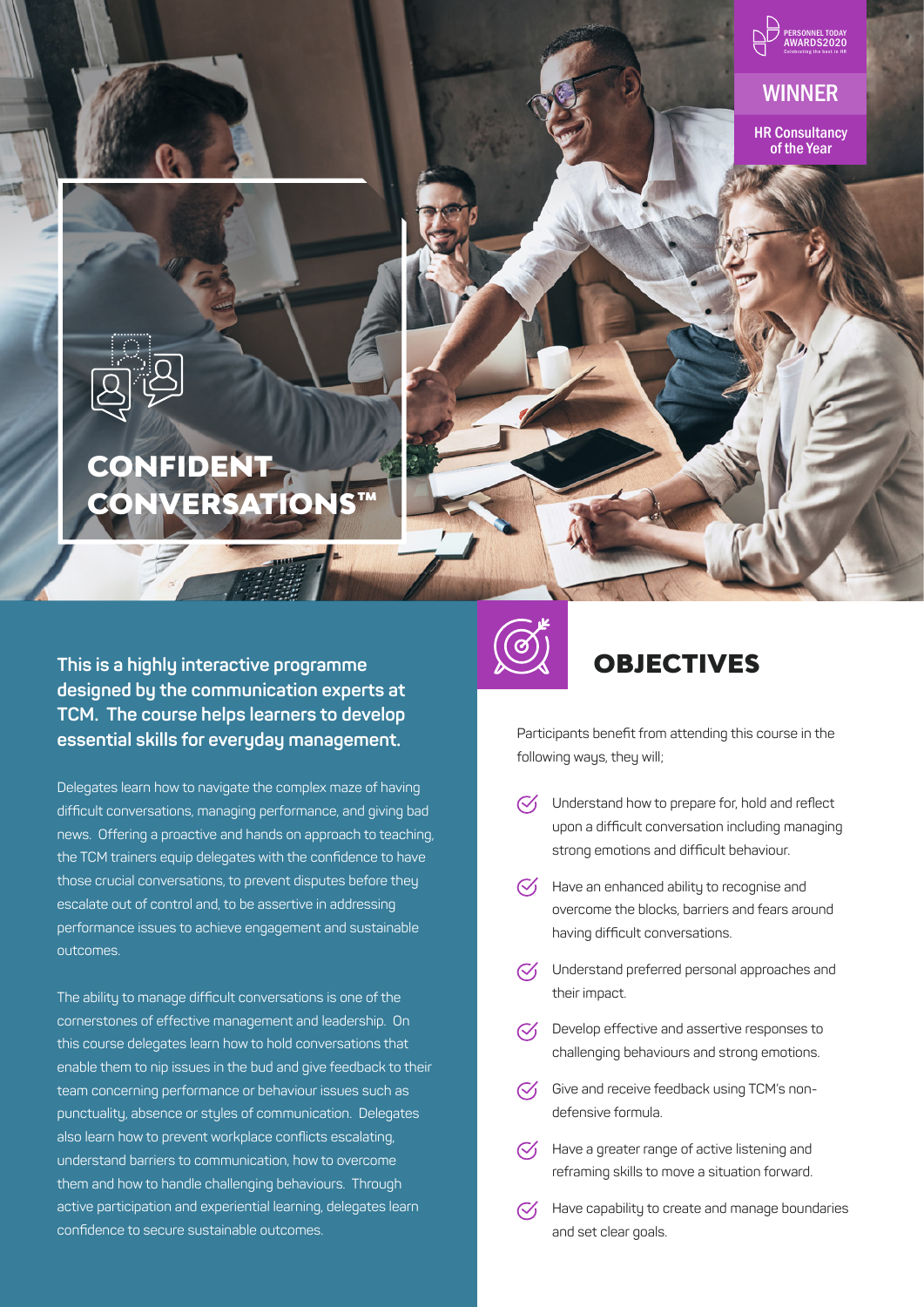

WINNER

HR Consultancy of the Year



# CONFIDENT CONVERSATIONS™

**This is a highly interactive programme designed by the communication experts at TCM. The course helps learners to develop essential skills for everyday management.** 

Delegates learn how to navigate the complex maze of having difficult conversations, managing performance, and giving bad news. Offering a proactive and hands on approach to teaching, the TCM trainers equip delegates with the confidence to have those crucial conversations, to prevent disputes before they escalate out of control and, to be assertive in addressing performance issues to achieve engagement and sustainable outcomes.

The ability to manage difficult conversations is one of the cornerstones of effective management and leadership. On this course delegates learn how to hold conversations that enable them to nip issues in the bud and give feedback to their team concerning performance or behaviour issues such as punctuality, absence or styles of communication. Delegates also learn how to prevent workplace conflicts escalating, understand barriers to communication, how to overcome them and how to handle challenging behaviours. Through active participation and experiential learning, delegates learn confidence to secure sustainable outcomes.



### **OBJECTIVES**

Participants benefit from attending this course in the following ways, they will;

- $\heartsuit$  Understand how to prepare for, hold and reflect upon a difficult conversation including managing strong emotions and difficult behaviour.
- $\heartsuit$  Have an enhanced ability to recognise and overcome the blocks, barriers and fears around having difficult conversations.
- $\sim$  Understand preferred personal approaches and their impact.
- $\sqrt{\phantom{a}}$  Develop effective and assertive responses to challenging behaviours and strong emotions.
- $\heartsuit$  Give and receive feedback using TCM's nondefensive formula.
- $\heartsuit$  Have a greater range of active listening and reframing skills to move a situation forward.
- $\heartsuit$  Have capability to create and manage boundaries and set clear goals.